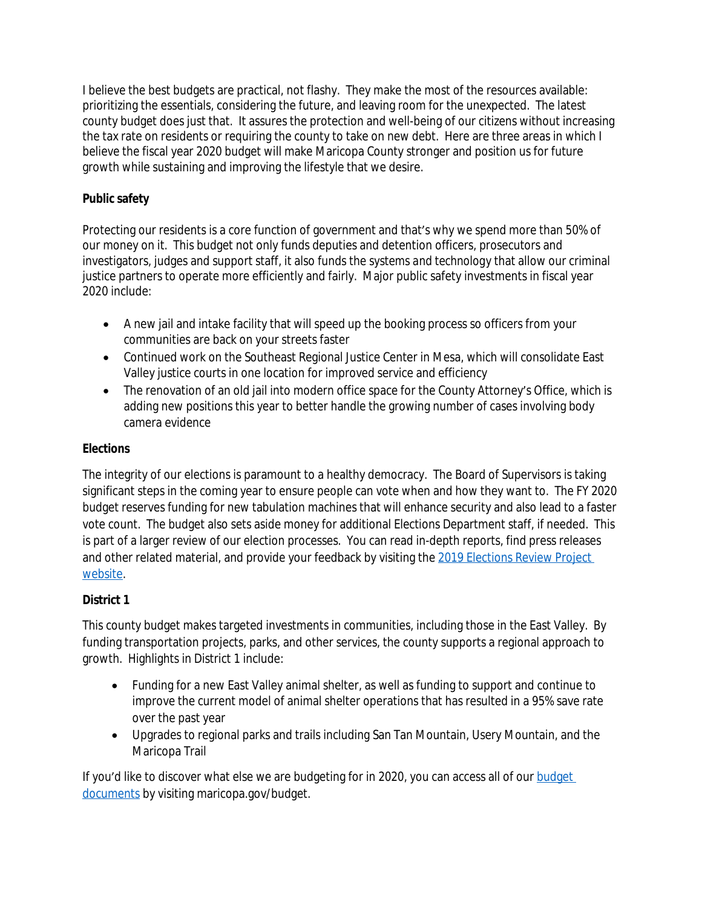I believe the best budgets are practical, not flashy. They make the most of the resources available: prioritizing the essentials, considering the future, and leaving room for the unexpected. The latest county budget does just that. It assures the protection and well-being of our citizens without increasing the tax rate on residents or requiring the county to take on new debt. Here are three areas in which I believe the fiscal year 2020 budget will make Maricopa County stronger and position us for future growth while sustaining and improving the lifestyle that we desire.

## **Public safety**

Protecting our residents is a core function of government and that's why we spend more than 50% of our money on it. This budget not only funds deputies and detention officers, prosecutors and investigators, judges and support staff, it also funds the *systems and technology* that allow our criminal justice partners to operate more efficiently and fairly. Major public safety investments in fiscal year 2020 include:

- A new jail and intake facility that will speed up the booking process so officers from your communities are back on your streets faster
- Continued work on the Southeast Regional Justice Center in Mesa, which will consolidate East Valley justice courts in one location for improved service and efficiency
- The renovation of an old jail into modern office space for the County Attorney's Office, which is adding new positions this year to better handle the growing number of cases involving body camera evidence

## **Elections**

The integrity of our elections is paramount to a healthy democracy. The Board of Supervisors is taking significant steps in the coming year to ensure people can vote when and how they want to. The FY 2020 budget reserves funding for new tabulation machines that will enhance security and also lead to a faster vote count. The budget also sets aside money for additional Elections Department staff, if needed. This is part of a larger review of our election processes. You can read in-depth reports, find press releases and other related material, and provide your feedback by visiting the 2019 Elections Review Project website.

## **District 1**

This county budget makes targeted investments in communities, including those in the East Valley. By funding transportation projects, parks, and other services, the county supports a regional approach to growth. Highlights in District 1 include:

- Funding for a new East Valley animal shelter, as well as funding to support and continue to improve the current model of animal shelter operations that has resulted in a 95% save rate over the past year
- Upgrades to regional parks and trails including San Tan Mountain, Usery Mountain, and the Maricopa Trail

If you'd like to discover what else we are budgeting for in 2020, you can access all of our budget documents by visiting maricopa.gov/budget.